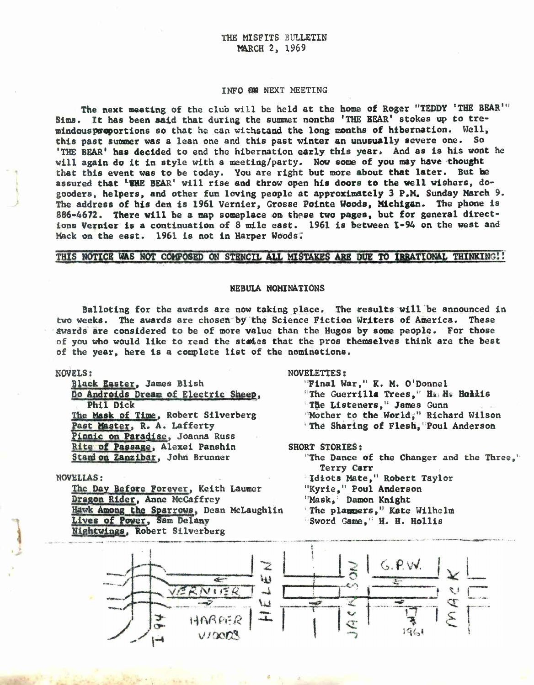### INFO **SB** NEXT MEETING

**The next treating of the club will be held at the home of Roger "TEDDY 'THE BEAR" Sites. It has been said that during the summer nonths 'THE BEAR' stokes up to tremindousptroportions so that he can withstand the long months of hibernation. Well, this past summer was a lean one and this past winter an unusually severe one. So 'THE BEAR' has decided to end the hibernation early this year\* And as is his wont he will again do it in style with a meeting/party. Now some of you may have thought that this event was to be today. You are right but more about that later. But he assured that '•SHE BEAR' will rise and throw open his doors to the well wishers, dogooders, helpers, and other fun loving people at approximately 3 P.M. Sunday March 9. The address of his den is 1961 Vernier, Grosse Pointe Woods, Michigan. The phone is 886-4672. There will be a map someplace on these two pages, but for general directions Vernier is a continuation of 8 mile east. 1961 is between 1-94 on the west and Mack on the east. 1961 is not in Harper Woods;**

## $T$ HIS **NOTICE** WAS NOT COMPOSED ON STENCIL ALL MISTAKES ARE DUE TO IRRATIONAL THINKING!!

#### **NEBULA NOMINATIONS**

**Balloting for the awards are now taking place. The results will be announced in two weeks. The awards are chosen by the Science Fiction Writers of America. These awards are considered to be of more value than the Hugos by some people. For those of you who would like to read the stories that the pros themselves think are the best of the year, here is a complete list of the nominations.**

### **NOVELS:**

**Black Easter, James Blish Do Androids Dream of Electric Sheep, Phil Dick The Mask of Time, Robert Silverberg Past Master, R. A. Lafferty Picnic on Paradise, Joanna Russ Rite of Passage, Alexei Panshin Stand on Zanzibar , John Brunner**

#### **NOVELLAS:**

**The Day Before Forever, Keith Laumer Dragon Rider, Anne McCaffrey Hawk Among the Sparrows, Dean McLaughlin Lives of Power, Sam Delany Nightwings, Robert Silverberg**

**NOVELETTES:**

**'Final War," K. M. O'Donnel "The Guerrilla Trees," Ha H. Hollis The Listeners," James Gunn Mother to the World/' Richard Wilson "The Sharing of Flesh, Poul Anderson**

**SHORT STORIES:**

**"The Dance of the Changer and the Three," Terry Carr Idiots Mate," Robert Taylor "Kyrie," Poul Anderson "Mask/ Damon Knight The planners,' Kate Wilhelm Sword Game," H. H. Hollis**

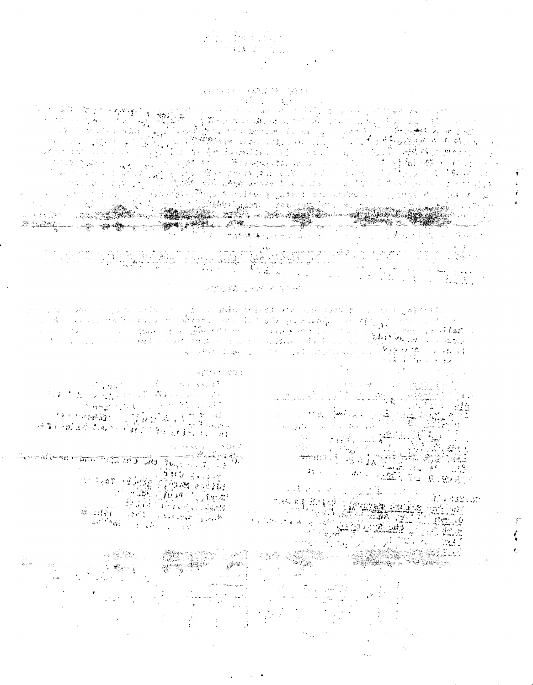$\label{eq:G} \frac{\phi_\alpha^2\mathcal{A}^2\left(\mathcal{L}^2\right)}{2}=\frac{1}{2}\frac{\phi_\alpha^2\phi_\alpha^2\mathcal{L}^2}{\phi_\alpha^2}=\frac{1}{2}\frac{\phi_\alpha^2\phi_\alpha^2}{\phi_\alpha^2}\,.$ 

a provinci komunista (1933)<br>1970 - Paul II, politikar<br>1970 - Papa Perry Association (1930) 

 $\label{eq:2} \lim_{\alpha\rightarrow 0} \frac{1}{\alpha} \sum_{i=1}^n \frac{1}{\alpha_i} \sum_{i=1}^n \frac{1}{\alpha_i} \sum_{i=1}^n \frac{1}{\alpha_i} \sum_{i=1}^n \frac{1}{\alpha_i} \sum_{i=1}^n \frac{1}{\alpha_i} \sum_{i=1}^n \frac{1}{\alpha_i} \sum_{i=1}^n \frac{1}{\alpha_i} \sum_{i=1}^n \frac{1}{\alpha_i} \sum_{i=1}^n \frac{1}{\alpha_i} \sum_{i=1}^n \frac{1}{\alpha_i} \sum_{i=1}^n \frac{1}{\$ 

# $\mathcal{A}^{\text{int}}_{\text{G}}(\mathbb{R}^N_{\text{G}}\mathbb{R}^N_{\text{G}}\mathbb{R}^N_{\text{G}})^{\text{int}}\mathcal{A}^{\text{int}}_{\text{G}}(\mathbb{R}^N_{\text{G}}\mathbb{R}^N_{\text{G}})^{\text{int}}$

计自动操作 计自变化

 $1.419 \pm 0.02$  (  $.321$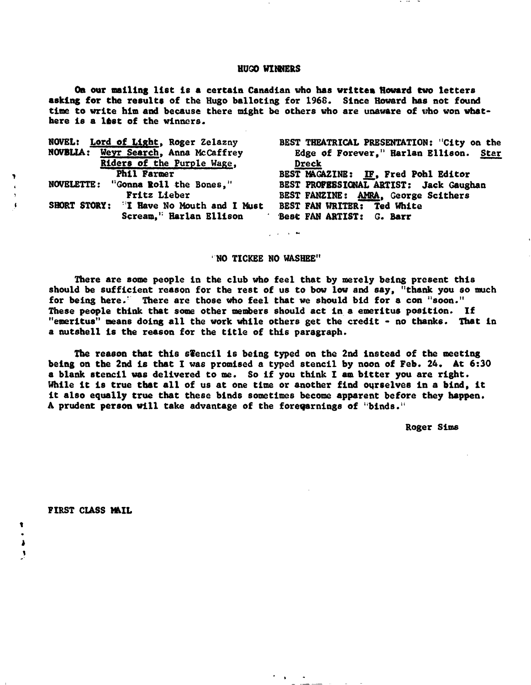#### **HUGO WINNERS**

**Oft our mailing list is a certain Canadian who has written Howard two letters asking for the results of the Hugo balloting for 1968. Since Howard has not found time to write him and because there might be others who are unaware of who won whathere is a 16st of the winners.**

| NOVEL: Lord of Light, Roger Zelazny      | BEST THEATRICAL PRESENTATION: "City on the |
|------------------------------------------|--------------------------------------------|
| NOVBLIA: Weyr Search, Anna McCaffrey     | Edge of Forever," Harlan Ellison. Star     |
| Riders of the Purple Wage,               | Dreck                                      |
| <b>Phil Farmer</b>                       | BEST MAGAZINE: IF, Fred Pohl Editor        |
| NOVELETTE: "Gonna Roll the Bones,"       | BEST PROFESSIONAL ARTIST: Jack Gaughan     |
| Fritz Lieber                             | BEST FANZINE: AMRA, George Scithers        |
| SHORT STORY: "I Have No Mouth and I Must | BEST FAN WRITER: Ted White                 |
| Scream," Harlan Ellison                  | Best FAN ARTIST: G. Barr                   |
|                                          |                                            |

### **NO TICKEE NO WASHEE"**

**There are some people in the club who feel that by merely being present this should be sufficient reason for the rest of us to bow low and say, "thank you so much for being here.' There are those who feel that we should bid for a con "soon." These people think that some other members should act in a emeritus position. If "emeritus" means doing all the work while others get the credit - no thanks. That in a nutshell is the reason for the title of this paragraph.**

**The reason that this sSencil is being typed on the 2nd instead of the meeting being on the 2nd is that I was promised a typed stencil by noon of Feb. 24. At 6:30 a blank stencil was delivered to me. So if you think I am bitter you are right. While it is true that all of us at one time or another find ourselves in a bind, it it also equally true that these binds sometimes become apparent before they happen. A prudent person will take advantage of the forewarnings of "binds."**

**Roger Sims**

**FIRST CUSS MAIL**